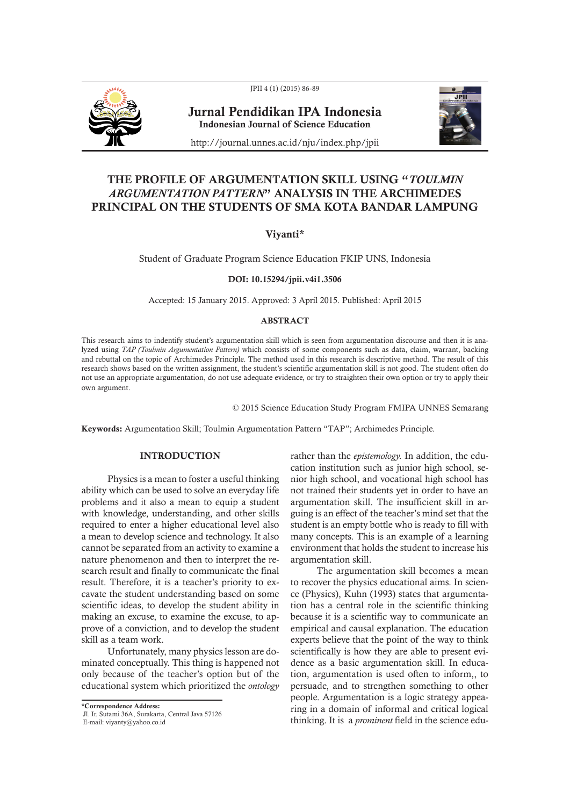JPII 4 (1) (2015) 86-89



Jurnal Pendidikan IPA Indonesia Indonesian Journal of Science Education



http://journal.unnes.ac.id/nju/index.php/jpii

# THE PROFILE OF ARGUMENTATION SKILL USING "*TOULMIN ARGUMENTATION PATTERN*" ANALYSIS IN THE ARCHIMEDES PRINCIPAL ON THE STUDENTS OF SMA KOTA BANDAR LAMPUNG

## Viyanti\*

Student of Graduate Program Science Education FKIP UNS, Indonesia

DOI: 10.15294/jpii.v4i1.3506

Accepted: 15 January 2015. Approved: 3 April 2015. Published: April 2015

## ABSTRACT

This research aims to indentify student's argumentation skill which is seen from argumentation discourse and then it is analyzed using *TAP (Toulmin Argumentation Pattern)* which consists of some components such as data, claim, warrant, backing and rebuttal on the topic of Archimedes Principle. The method used in this research is descriptive method. The result of this research shows based on the written assignment, the student's scientific argumentation skill is not good. The student often do not use an appropriate argumentation, do not use adequate evidence, or try to straighten their own option or try to apply their own argument.

© 2015 Science Education Study Program FMIPA UNNES Semarang

Keywords: Argumentation Skill; Toulmin Argumentation Pattern "TAP"; Archimedes Principle.

### INTRODUCTION

Physics is a mean to foster a useful thinking ability which can be used to solve an everyday life problems and it also a mean to equip a student with knowledge, understanding, and other skills required to enter a higher educational level also a mean to develop science and technology. It also cannot be separated from an activity to examine a nature phenomenon and then to interpret the research result and finally to communicate the final result. Therefore, it is a teacher's priority to excavate the student understanding based on some scientific ideas, to develop the student ability in making an excuse, to examine the excuse, to approve of a conviction, and to develop the student skill as a team work.

Unfortunately, many physics lesson are dominated conceptually. This thing is happened not only because of the teacher's option but of the educational system which prioritized the *ontology*

\*Correspondence Address:

Jl. Ir. Sutami 36A, Surakarta, Central Java 57126

E-mail: viyanty@yahoo.co.id

rather than the *epistemology.* In addition, the education institution such as junior high school, senior high school, and vocational high school has not trained their students yet in order to have an argumentation skill. The insufficient skill in arguing is an effect of the teacher's mind set that the student is an empty bottle who is ready to fill with many concepts. This is an example of a learning environment that holds the student to increase his argumentation skill.

The argumentation skill becomes a mean to recover the physics educational aims. In science (Physics), Kuhn (1993) states that argumentation has a central role in the scientific thinking because it is a scientific way to communicate an empirical and causal explanation. The education experts believe that the point of the way to think scientifically is how they are able to present evidence as a basic argumentation skill. In education, argumentation is used often to inform,, to persuade, and to strengthen something to other people. Argumentation is a logic strategy appearing in a domain of informal and critical logical thinking. It is a *prominent* field in the science edu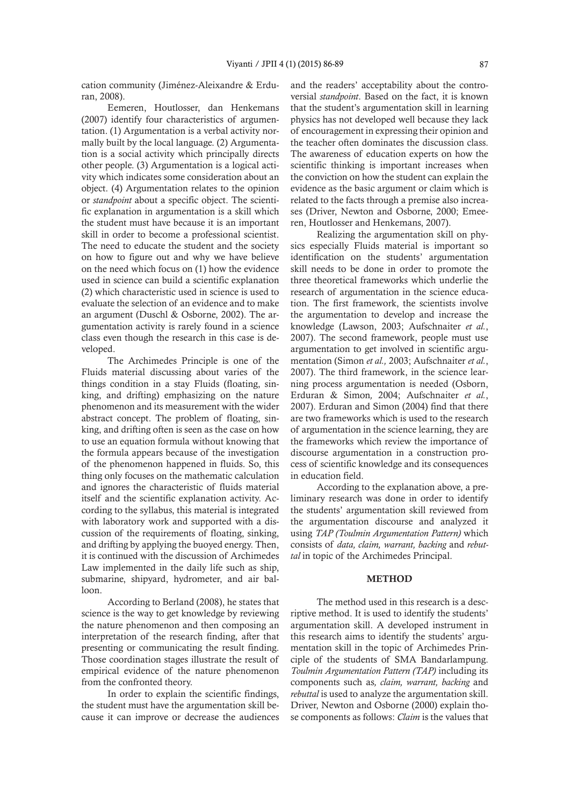cation community (Jiménez-Aleixandre & Erduran, 2008).

Eemeren, Houtlosser, dan Henkemans (2007) identify four characteristics of argumentation. (1) Argumentation is a verbal activity normally built by the local language. (2) Argumentation is a social activity which principally directs other people. (3) Argumentation is a logical activity which indicates some consideration about an object. (4) Argumentation relates to the opinion or *standpoint* about a specific object. The scientific explanation in argumentation is a skill which the student must have because it is an important skill in order to become a professional scientist. The need to educate the student and the society on how to figure out and why we have believe on the need which focus on (1) how the evidence used in science can build a scientific explanation (2) which characteristic used in science is used to evaluate the selection of an evidence and to make an argument (Duschl & Osborne, 2002). The argumentation activity is rarely found in a science class even though the research in this case is developed.

The Archimedes Principle is one of the Fluids material discussing about varies of the things condition in a stay Fluids (floating, sinking, and drifting) emphasizing on the nature phenomenon and its measurement with the wider abstract concept. The problem of floating, sinking, and drifting often is seen as the case on how to use an equation formula without knowing that the formula appears because of the investigation of the phenomenon happened in fluids. So, this thing only focuses on the mathematic calculation and ignores the characteristic of fluids material itself and the scientific explanation activity. According to the syllabus, this material is integrated with laboratory work and supported with a discussion of the requirements of floating, sinking, and drifting by applying the buoyed energy. Then, it is continued with the discussion of Archimedes Law implemented in the daily life such as ship, submarine, shipyard, hydrometer, and air balloon.

According to Berland (2008), he states that science is the way to get knowledge by reviewing the nature phenomenon and then composing an interpretation of the research finding, after that presenting or communicating the result finding. Those coordination stages illustrate the result of empirical evidence of the nature phenomenon from the confronted theory.

In order to explain the scientific findings, the student must have the argumentation skill because it can improve or decrease the audiences and the readers' acceptability about the controversial *standpoint*. Based on the fact, it is known that the student's argumentation skill in learning physics has not developed well because they lack of encouragement in expressing their opinion and the teacher often dominates the discussion class. The awareness of education experts on how the scientific thinking is important increases when the conviction on how the student can explain the evidence as the basic argument or claim which is related to the facts through a premise also increases (Driver, Newton and Osborne, 2000; Emeeren, Houtlosser and Henkemans, 2007).

Realizing the argumentation skill on physics especially Fluids material is important so identification on the students' argumentation skill needs to be done in order to promote the three theoretical frameworks which underlie the research of argumentation in the science education. The first framework, the scientists involve the argumentation to develop and increase the knowledge (Lawson, 2003; Aufschnaiter *et al.*, 2007). The second framework, people must use argumentation to get involved in scientific argumentation (Simon *et al.,* 2003; Aufschnaiter *et al.*, 2007). The third framework, in the science learning process argumentation is needed (Osborn, Erduran & Simon*,* 2004; Aufschnaiter *et al.*, 2007). Erduran and Simon (2004) find that there are two frameworks which is used to the research of argumentation in the science learning, they are the frameworks which review the importance of discourse argumentation in a construction process of scientific knowledge and its consequences in education field.

According to the explanation above, a preliminary research was done in order to identify the students' argumentation skill reviewed from the argumentation discourse and analyzed it using *TAP (Toulmin Argumentation Pattern)* which consists of *data, claim, warrant, backing* and *rebuttal* in topic of the Archimedes Principal.

#### **METHOD**

The method used in this research is a descriptive method. It is used to identify the students' argumentation skill. A developed instrument in this research aims to identify the students' argumentation skill in the topic of Archimedes Principle of the students of SMA Bandarlampung. *Toulmin Argumentation Pattern (TAP)* including its components such as*, claim, warrant, backing* and *rebuttal* is used to analyze the argumentation skill. Driver, Newton and Osborne (2000) explain those components as follows: *Claim* is the values that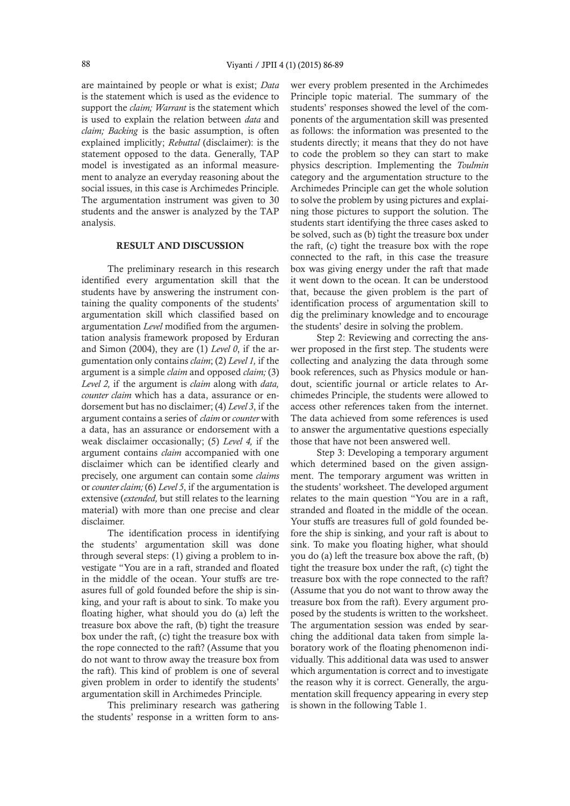are maintained by people or what is exist; *Data* is the statement which is used as the evidence to support the *claim; Warrant* is the statement which is used to explain the relation between *data* and *claim; Backing* is the basic assumption, is often explained implicitly; *Rebuttal* (disclaimer): is the statement opposed to the data. Generally, TAP model is investigated as an informal measurement to analyze an everyday reasoning about the social issues, in this case is Archimedes Principle. The argumentation instrument was given to 30 students and the answer is analyzed by the TAP analysis.

## RESULT AND DISCUSSION

The preliminary research in this research identified every argumentation skill that the students have by answering the instrument containing the quality components of the students' argumentation skill which classified based on argumentation *Level* modified from the argumentation analysis framework proposed by Erduran and Simon (2004), they are (1) *Level 0*, if the argumentation only contains *claim*; (2) *Level 1,* if the argument is a simple *claim* and opposed *claim;* (3) *Level 2,* if the argument is *claim* along with *data, counter claim* which has a data, assurance or endorsement but has no disclaimer; (4) *Level 3*, if the argument contains a series of *claim* or *counter* with a data, has an assurance or endorsement with a weak disclaimer occasionally; (5) *Level 4,* if the argument contains *claim* accompanied with one disclaimer which can be identified clearly and precisely, one argument can contain some *claims*  or *counter claim;* (6) *Level 5*, if the argumentation is extensive (*extended,* but still relates to the learning material) with more than one precise and clear disclaimer.

The identification process in identifying the students' argumentation skill was done through several steps: (1) giving a problem to investigate "You are in a raft, stranded and floated in the middle of the ocean. Your stuffs are treasures full of gold founded before the ship is sinking, and your raft is about to sink. To make you floating higher, what should you do (a) left the treasure box above the raft, (b) tight the treasure box under the raft, (c) tight the treasure box with the rope connected to the raft? (Assume that you do not want to throw away the treasure box from the raft). This kind of problem is one of several given problem in order to identify the students' argumentation skill in Archimedes Principle.

This preliminary research was gathering the students' response in a written form to ans-

wer every problem presented in the Archimedes Principle topic material. The summary of the students' responses showed the level of the components of the argumentation skill was presented as follows: the information was presented to the students directly; it means that they do not have to code the problem so they can start to make physics description. Implementing the *Toulmin* category and the argumentation structure to the Archimedes Principle can get the whole solution to solve the problem by using pictures and explaining those pictures to support the solution. The students start identifying the three cases asked to be solved, such as (b) tight the treasure box under the raft, (c) tight the treasure box with the rope connected to the raft, in this case the treasure box was giving energy under the raft that made it went down to the ocean. It can be understood that, because the given problem is the part of identification process of argumentation skill to dig the preliminary knowledge and to encourage the students' desire in solving the problem.

Step 2: Reviewing and correcting the answer proposed in the first step. The students were collecting and analyzing the data through some book references, such as Physics module or handout, scientific journal or article relates to Archimedes Principle, the students were allowed to access other references taken from the internet. The data achieved from some references is used to answer the argumentative questions especially those that have not been answered well.

Step 3: Developing a temporary argument which determined based on the given assignment. The temporary argument was written in the students' worksheet. The developed argument relates to the main question "You are in a raft, stranded and floated in the middle of the ocean. Your stuffs are treasures full of gold founded before the ship is sinking, and your raft is about to sink. To make you floating higher, what should you do (a) left the treasure box above the raft, (b) tight the treasure box under the raft, (c) tight the treasure box with the rope connected to the raft? (Assume that you do not want to throw away the treasure box from the raft). Every argument proposed by the students is written to the worksheet. The argumentation session was ended by searching the additional data taken from simple laboratory work of the floating phenomenon individually. This additional data was used to answer which argumentation is correct and to investigate the reason why it is correct. Generally, the argumentation skill frequency appearing in every step is shown in the following Table 1.